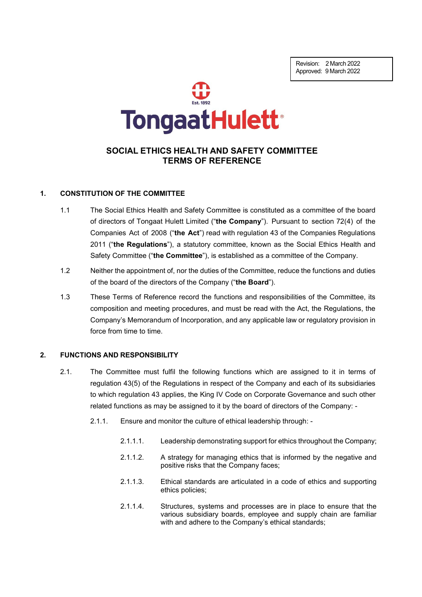Revision: 2 March 2022 Approved: 9 March 2022



# **SOCIAL ETHICS HEALTH AND SAFETY COMMITTEE TERMS OF REFERENCE**

#### **1. CONSTITUTION OF THE COMMITTEE**

- 1.1 The Social Ethics Health and Safety Committee is constituted as a committee of the board of directors of Tongaat Hulett Limited ("**the Company**"). Pursuant to section 72(4) of the Companies Act of 2008 ("**the Act**") read with regulation 43 of the Companies Regulations 2011 ("**the Regulations**"), a statutory committee, known as the Social Ethics Health and Safety Committee ("**the Committee**"), is established as a committee of the Company.
- 1.2 Neither the appointment of, nor the duties of the Committee, reduce the functions and duties of the board of the directors of the Company ("**the Board**").
- 1.3 These Terms of Reference record the functions and responsibilities of the Committee, its composition and meeting procedures, and must be read with the Act, the Regulations, the Company's Memorandum of Incorporation, and any applicable law or regulatory provision in force from time to time.

#### **2. FUNCTIONS AND RESPONSIBILITY**

- 2.1. The Committee must fulfil the following functions which are assigned to it in terms of regulation 43(5) of the Regulations in respect of the Company and each of its subsidiaries to which regulation 43 applies, the King IV Code on Corporate Governance and such other related functions as may be assigned to it by the board of directors of the Company: -
	- 2.1.1. Ensure and monitor the culture of ethical leadership through:
		- 2.1.1.1. Leadership demonstrating support for ethics throughout the Company;
		- 2.1.1.2. A strategy for managing ethics that is informed by the negative and positive risks that the Company faces;
		- 2.1.1.3. Ethical standards are articulated in a code of ethics and supporting ethics policies;
		- 2.1.1.4. Structures, systems and processes are in place to ensure that the various subsidiary boards, employee and supply chain are familiar with and adhere to the Company's ethical standards;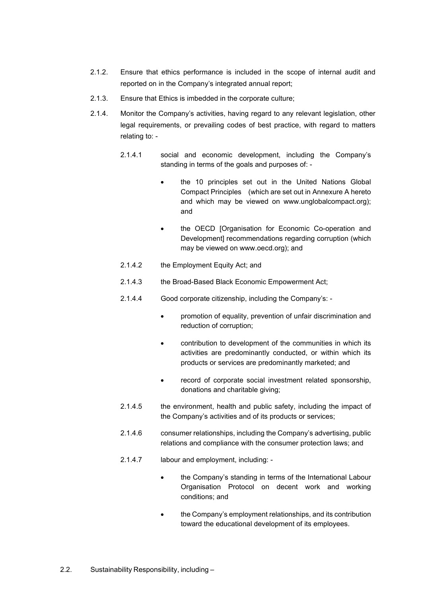- 2.1.2. Ensure that ethics performance is included in the scope of internal audit and reported on in the Company's integrated annual report;
- 2.1.3. Ensure that Ethics is imbedded in the corporate culture;
- 2.1.4. Monitor the Company's activities, having regard to any relevant legislation, other legal requirements, or prevailing codes of best practice, with regard to matters relating to: -
	- 2.1.4.1 social and economic development, including the Company's standing in terms of the goals and purposes of:
		- the 10 principles set out in the United Nations Global Compact Principles (which are set out in Annexure A hereto and which may be viewed on www.unglobalcompact.org); and
		- the OECD [Organisation for Economic Co-operation and Development] recommendations regarding corruption (which may be viewed on www.oecd.org); and
	- 2.1.4.2 the Employment Equity Act; and
	- 2.1.4.3 the Broad-Based Black Economic Empowerment Act;
	- 2.1.4.4 Good corporate citizenship, including the Company's:
		- promotion of equality, prevention of unfair discrimination and reduction of corruption;
		- contribution to development of the communities in which its activities are predominantly conducted, or within which its products or services are predominantly marketed; and
		- record of corporate social investment related sponsorship, donations and charitable giving;
	- 2.1.4.5 the environment, health and public safety, including the impact of the Company's activities and of its products or services;
	- 2.1.4.6 consumer relationships, including the Company's advertising, public relations and compliance with the consumer protection laws; and
	- 2.1.4.7 labour and employment, including:
		- the Company's standing in terms of the International Labour Organisation Protocol on decent work and working conditions; and
		- the Company's employment relationships, and its contribution toward the educational development of its employees.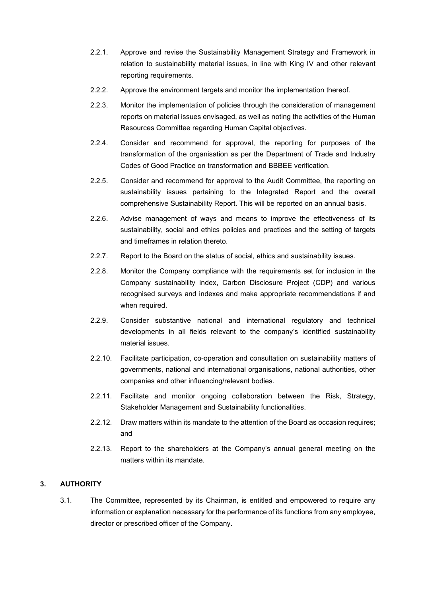- 2.2.1. Approve and revise the Sustainability Management Strategy and Framework in relation to sustainability material issues, in line with King IV and other relevant reporting requirements.
- 2.2.2. Approve the environment targets and monitor the implementation thereof.
- 2.2.3. Monitor the implementation of policies through the consideration of management reports on material issues envisaged, as well as noting the activities of the Human Resources Committee regarding Human Capital objectives.
- 2.2.4. Consider and recommend for approval, the reporting for purposes of the transformation of the organisation as per the Department of Trade and Industry Codes of Good Practice on transformation and BBBEE verification.
- 2.2.5. Consider and recommend for approval to the Audit Committee, the reporting on sustainability issues pertaining to the Integrated Report and the overall comprehensive Sustainability Report. This will be reported on an annual basis.
- 2.2.6. Advise management of ways and means to improve the effectiveness of its sustainability, social and ethics policies and practices and the setting of targets and timeframes in relation thereto.
- 2.2.7. Report to the Board on the status of social, ethics and sustainability issues.
- 2.2.8. Monitor the Company compliance with the requirements set for inclusion in the Company sustainability index, Carbon Disclosure Project (CDP) and various recognised surveys and indexes and make appropriate recommendations if and when required.
- 2.2.9. Consider substantive national and international regulatory and technical developments in all fields relevant to the company's identified sustainability material issues.
- 2.2.10. Facilitate participation, co-operation and consultation on sustainability matters of governments, national and international organisations, national authorities, other companies and other influencing/relevant bodies.
- 2.2.11. Facilitate and monitor ongoing collaboration between the Risk, Strategy, Stakeholder Management and Sustainability functionalities.
- 2.2.12. Draw matters within its mandate to the attention of the Board as occasion requires; and
- 2.2.13. Report to the shareholders at the Company's annual general meeting on the matters within its mandate.

# **3. AUTHORITY**

3.1. The Committee, represented by its Chairman, is entitled and empowered to require any information or explanation necessary for the performance of its functions from any employee, director or prescribed officer of the Company.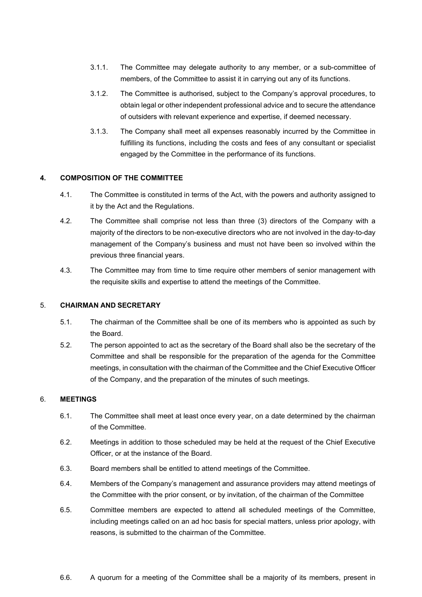- 3.1.1. The Committee may delegate authority to any member, or a sub-committee of members, of the Committee to assist it in carrying out any of its functions.
- 3.1.2. The Committee is authorised, subject to the Company's approval procedures, to obtain legal or other independent professional advice and to secure the attendance of outsiders with relevant experience and expertise, if deemed necessary.
- 3.1.3. The Company shall meet all expenses reasonably incurred by the Committee in fulfilling its functions, including the costs and fees of any consultant or specialist engaged by the Committee in the performance of its functions.

# **4. COMPOSITION OF THE COMMITTEE**

- 4.1. The Committee is constituted in terms of the Act, with the powers and authority assigned to it by the Act and the Regulations.
- 4.2. The Committee shall comprise not less than three (3) directors of the Company with a majority of the directors to be non-executive directors who are not involved in the day-to-day management of the Company's business and must not have been so involved within the previous three financial years.
- 4.3. The Committee may from time to time require other members of senior management with the requisite skills and expertise to attend the meetings of the Committee.

#### 5. **CHAIRMAN AND SECRETARY**

- 5.1. The chairman of the Committee shall be one of its members who is appointed as such by the Board.
- 5.2. The person appointed to act as the secretary of the Board shall also be the secretary of the Committee and shall be responsible for the preparation of the agenda for the Committee meetings, in consultation with the chairman of the Committee and the Chief Executive Officer of the Company, and the preparation of the minutes of such meetings.

# 6. **MEETINGS**

- 6.1. The Committee shall meet at least once every year, on a date determined by the chairman of the Committee.
- 6.2. Meetings in addition to those scheduled may be held at the request of the Chief Executive Officer, or at the instance of the Board.
- 6.3. Board members shall be entitled to attend meetings of the Committee.
- 6.4. Members of the Company's management and assurance providers may attend meetings of the Committee with the prior consent, or by invitation, of the chairman of the Committee
- 6.5. Committee members are expected to attend all scheduled meetings of the Committee, including meetings called on an ad hoc basis for special matters, unless prior apology, with reasons, is submitted to the chairman of the Committee.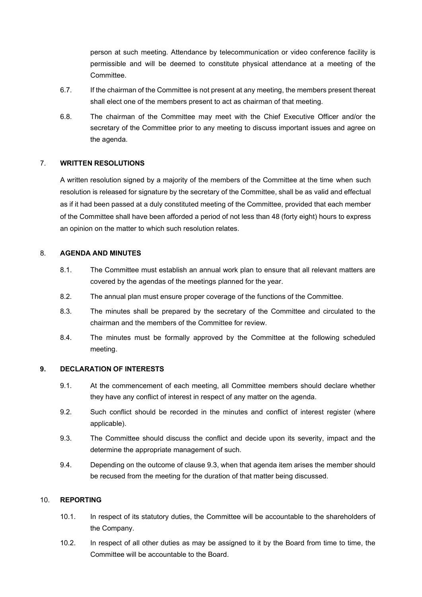person at such meeting. Attendance by telecommunication or video conference facility is permissible and will be deemed to constitute physical attendance at a meeting of the Committee.

- 6.7. If the chairman of the Committee is not present at any meeting, the members present thereat shall elect one of the members present to act as chairman of that meeting.
- 6.8. The chairman of the Committee may meet with the Chief Executive Officer and/or the secretary of the Committee prior to any meeting to discuss important issues and agree on the agenda.

### 7. **WRITTEN RESOLUTIONS**

A written resolution signed by a majority of the members of the Committee at the time when such resolution is released for signature by the secretary of the Committee, shall be as valid and effectual as if it had been passed at a duly constituted meeting of the Committee, provided that each member of the Committee shall have been afforded a period of not less than 48 (forty eight) hours to express an opinion on the matter to which such resolution relates.

### 8. **AGENDA AND MINUTES**

- 8.1. The Committee must establish an annual work plan to ensure that all relevant matters are covered by the agendas of the meetings planned for the year.
- 8.2. The annual plan must ensure proper coverage of the functions of the Committee.
- 8.3. The minutes shall be prepared by the secretary of the Committee and circulated to the chairman and the members of the Committee for review.
- 8.4. The minutes must be formally approved by the Committee at the following scheduled meeting.

### **9. DECLARATION OF INTERESTS**

- 9.1. At the commencement of each meeting, all Committee members should declare whether they have any conflict of interest in respect of any matter on the agenda.
- 9.2. Such conflict should be recorded in the minutes and conflict of interest register (where applicable).
- 9.3. The Committee should discuss the conflict and decide upon its severity, impact and the determine the appropriate management of such.
- 9.4. Depending on the outcome of clause 9.3, when that agenda item arises the member should be recused from the meeting for the duration of that matter being discussed.

# 10. **REPORTING**

- 10.1. In respect of its statutory duties, the Committee will be accountable to the shareholders of the Company.
- 10.2. In respect of all other duties as may be assigned to it by the Board from time to time, the Committee will be accountable to the Board.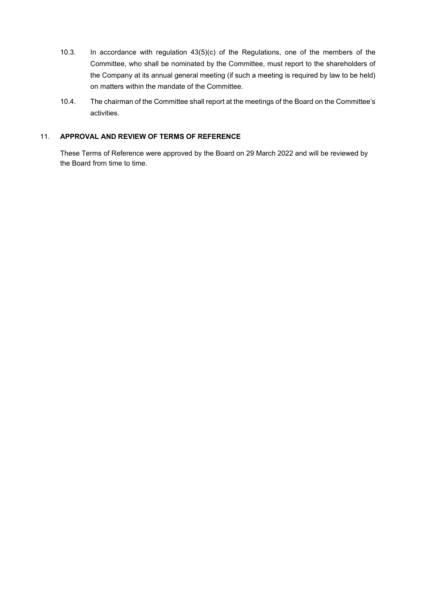- 10.3. In accordance with regulation 43(5)(c) of the Regulations, one of the members of the Committee, who shall be nominated by the Committee, must report to the shareholders of the Company at its annual general meeting (if such a meeting is required by law to be held) on matters within the mandate of the Committee.
- 10.4. The chairman of the Committee shall report at the meetings of the Board on the Committee's activities.

### 11. **APPROVAL AND REVIEW OF TERMS OF REFERENCE**

These Terms of Reference were approved by the Board on 29 March 2022 and will be reviewed by the Board from time to time.